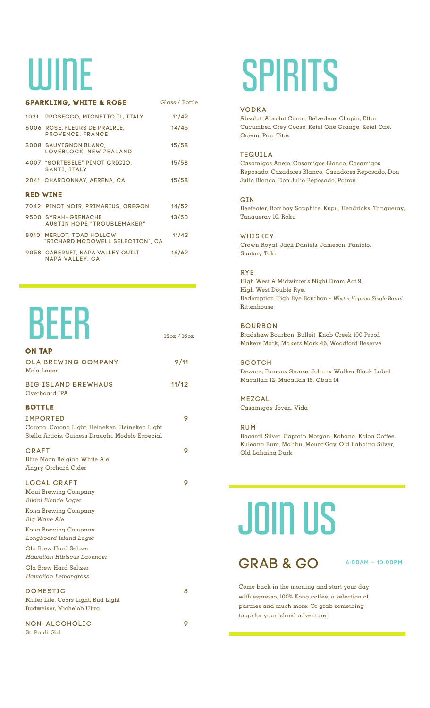### WINE

|                 | <b>SPARKLING, WHITE &amp; ROSE</b>                           | Glass / Bottle |  |  |
|-----------------|--------------------------------------------------------------|----------------|--|--|
|                 | 1031 PROSECCO, MIONETTO IL, ITALY                            | 11/42          |  |  |
|                 | 6006 ROSE, FLEURS DE PRAIRIE,<br><b>PROVENCE, FRANCE</b>     | 14/45          |  |  |
|                 | 3008 SAUVIGNON BLANC,<br>LOVEBLOCK, NEW ZEALAND              | 15/58          |  |  |
|                 | 4007 "SORTESELE" PINOT GRIGIO,<br><b>SANTI, ITALY</b>        | 15/58          |  |  |
|                 | 2041 CHARDONNAY, AERENA, CA                                  | 15/58          |  |  |
| <b>RED WINE</b> |                                                              |                |  |  |
|                 | 7042 PINOT NOIR, PRIMARIUS, OREGON                           | 14/52          |  |  |
|                 | 9500 SYRAH-GRENACHE<br><b>AUSTIN HOPE "TROUBLEMAKER"</b>     | 13/50          |  |  |
|                 | 8010 MERLOT, TOAD HOLLOW<br>"RICHARD MCDOWELL SELECTION", CA | 11/42          |  |  |
|                 | 9058 CABERNET, NAPA VALLEY QUILT<br><b>NAPA VALLEY, CA</b>   | 16/62          |  |  |

### BEER

| <b>ON TAP</b>                                                                                                         |       |
|-----------------------------------------------------------------------------------------------------------------------|-------|
| <b>OLA BREWING COMPANY</b><br>Ma`a Lager                                                                              | 9/11  |
| <b>BIG ISLAND BREWHAUS</b><br>Overboard IPA                                                                           | 11/12 |
| <b>BOTTLE</b>                                                                                                         |       |
| <b>IMPORTED</b><br>Corona, Corona Light, Heineken, Heineken Light<br>Stella Artiois, Guiness Draught, Modelo Especial | 9     |
| <b>CRAFT</b>                                                                                                          | 9     |
| Blue Moon Belgian White Ale<br><b>Angry Orchard Cider</b>                                                             |       |
| <b>LOCAL CRAFT</b><br><b>Maui Brewing Company</b><br>Bikini Blonde Lager                                              | 9     |
| <b>Kona Brewing Company</b><br><b>Big Wave Ale</b>                                                                    |       |
| <b>Kona Brewing Company</b><br>Longboard Island Lager                                                                 |       |
| Ola Brew Hard Seltzer                                                                                                 |       |
| Hawaijan Hibiscus Lavender                                                                                            |       |
| Ola Brew Hard Seltzer<br>Hawaiian Lemongrass                                                                          |       |
| <b>DOMESTIC</b><br>Miller Lite, Coors Light, Bud Light<br><b>Budweiser, Michelob Ultra</b>                            | 8     |
| <b>NON-ALCOHOLIC</b><br>St. Pauli Girl                                                                                | 9     |

### SPIRITS

### VODKA

Absolut, Absolut Citron, Belvedere, Chopin, Effin Cucumber, Grey Goose, Ketel One Orange, Ketel One, Ocean, Pau, Titos

### TEQUILA

Casamigos Anejo, Casamigos Blanco, Casamigos Reposado, Cazadores Blanco, Cazadores Reposado, Don Julio Blanco, Don Julio Reposado, Patron

### GIN

Beefeater, Bombay Sapphire, Kupu, Hendricks, Tanqueray, Tanqueray 10, Roku

### **WHISKEY**

Crown Royal, Jack Daniels, Jameson, Paniolo, Suntory Toki

### RYE

12oz / 16oz

High West A Midwinter's Night Dram Act 9, High West Double Rye, Redemption High Rye Bourbon - *Westin Hapuna Single Barrel*  Rittenhouse

### BOURBON

Bradshaw Bourbon, Bulleit, Knob Creek 100 Proof, Makers Mark, Makers Mark 46, Woodford Reserve

**SCOTCH** Dewars, Famous Grouse, Johnny Walker Black Label, Macallan 12, Macallan 18, Oban 14

### MEZCAL

Casamigo's Joven, Vida

### RUM

Bacardi Silver, Captain Morgan, Kohana, Koloa Coffee, Kuleana Rum, Malibu, Mount Gay, Old Lahaina Silver, Old Lahaina Dark

# **JOIN US**

### GRAB & GO 6:00AM - 10:00PM

Come back in the morning and start your day with espresso, 100% Kona coffee, a selection of pastries and much more. Or grab something to go for your island adventure.